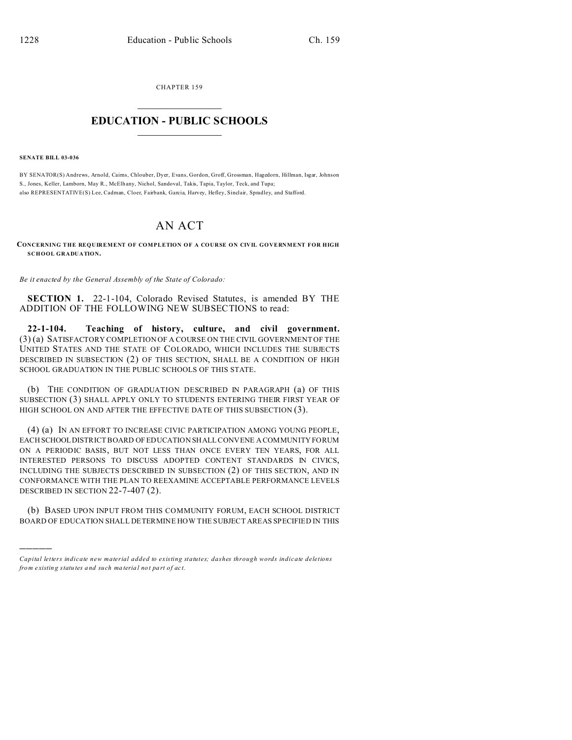CHAPTER 159  $\overline{\phantom{a}}$  , where  $\overline{\phantom{a}}$ 

## **EDUCATION - PUBLIC SCHOOLS**  $\_$   $\_$   $\_$   $\_$   $\_$   $\_$   $\_$   $\_$   $\_$

**SENATE BILL 03-036**

)))))

BY SENATOR(S) Andrews, Arnold, Cairns, Chlouber, Dyer, Evans, Gordon, Groff, Grossman, Hagedorn, Hillman, Isgar, Johnson S., Jones, Keller, Lamborn, May R., McElh any, Nichol, Sandoval, Takis, Tapia, Taylor, Teck, and Tupa; also REPRESENTATIVE(S) Lee, Cadman, Cloer, Fairbank, Garcia, Harvey, Hefley, Sinclair, Spradley, and Stafford.

## AN ACT

**CONCERNING THE REQUIREMENT OF COMPLETION OF A COURSE ON CIVIL GOVERNMENT FOR HIGH SCHOOL GRADUATION.**

*Be it enacted by the General Assembly of the State of Colorado:*

**SECTION 1.** 22-1-104, Colorado Revised Statutes, is amended BY THE ADDITION OF THE FOLLOWING NEW SUBSECTIONS to read:

**22-1-104. Teaching of history, culture, and civil government.** (3) (a) SATISFACTORY COMPLETION OF A COURSE ON THE CIVIL GOVERNMENT OF THE UNITED STATES AND THE STATE OF COLORADO, WHICH INCLUDES THE SUBJECTS DESCRIBED IN SUBSECTION (2) OF THIS SECTION, SHALL BE A CONDITION OF HIGH SCHOOL GRADUATION IN THE PUBLIC SCHOOLS OF THIS STATE.

(b) THE CONDITION OF GRADUATION DESCRIBED IN PARAGRAPH (a) OF THIS SUBSECTION (3) SHALL APPLY ONLY TO STUDENTS ENTERING THEIR FIRST YEAR OF HIGH SCHOOL ON AND AFTER THE EFFECTIVE DATE OF THIS SUBSECTION (3).

(4) (a) IN AN EFFORT TO INCREASE CIVIC PARTICIPATION AMONG YOUNG PEOPLE, EACH SCHOOL DISTRICT BOARD OF EDUCATION SHALL CONVENE A COMMUNITY FORUM ON A PERIODIC BASIS, BUT NOT LESS THAN ONCE EVERY TEN YEARS, FOR ALL INTERESTED PERSONS TO DISCUSS ADOPTED CONTENT STANDARDS IN CIVICS, INCLUDING THE SUBJECTS DESCRIBED IN SUBSECTION (2) OF THIS SECTION, AND IN CONFORMANCE WITH THE PLAN TO REEXAMINE ACCEPTABLE PERFORMANCE LEVELS DESCRIBED IN SECTION 22-7-407 (2).

(b) BASED UPON INPUT FROM THIS COMMUNITY FORUM, EACH SCHOOL DISTRICT BOARD OF EDUCATION SHALL DETERMINE HOW THE SUBJECT AREAS SPECIFIED IN THIS

*Capital letters indicate new material added to existing statutes; dashes through words indicate deletions from e xistin g statu tes a nd such ma teria l no t pa rt of ac t.*